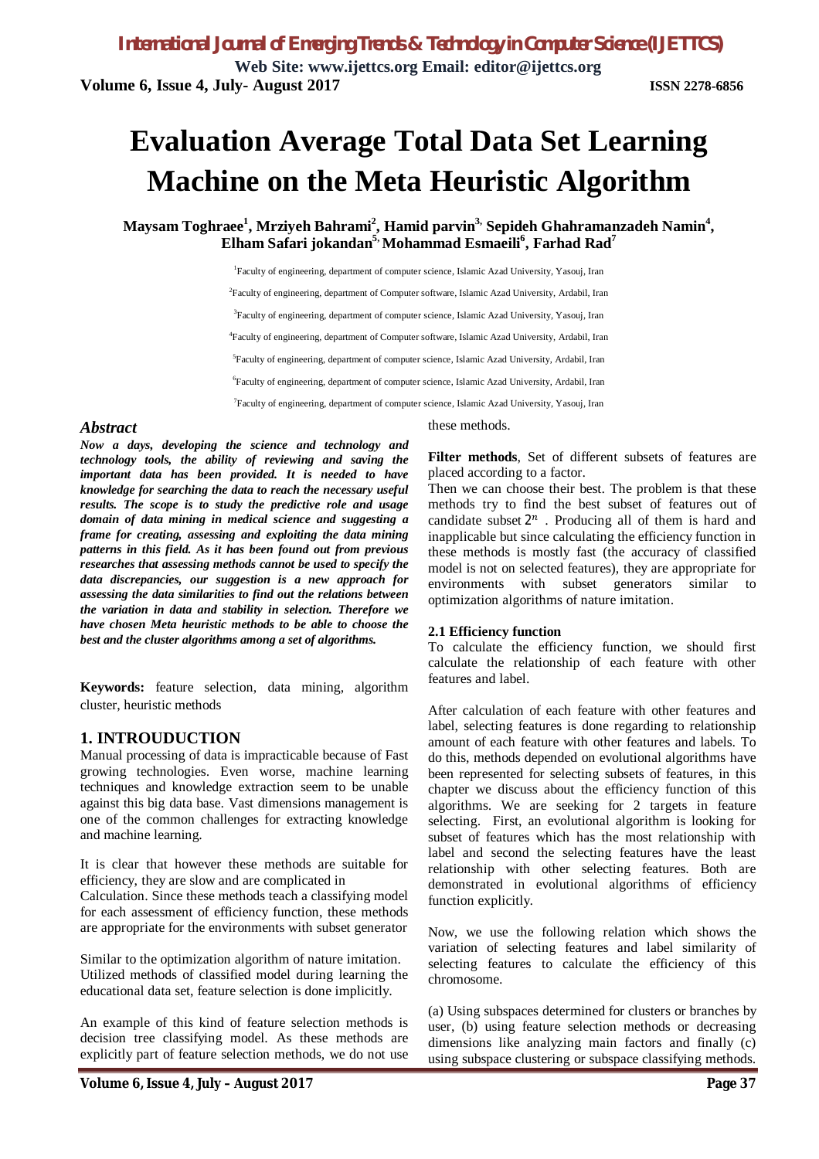# **Evaluation Average Total Data Set Learning Machine on the Meta Heuristic Algorithm**

**Maysam Toghraee<sup>1</sup> , Mrziyeh Bahrami<sup>2</sup> , Hamid parvin3, Sepideh Ghahramanzadeh Namin<sup>4</sup> , Elham Safari jokandan5, Mohammad Esmaeili<sup>6</sup> , Farhad Rad<sup>7</sup>**

> <sup>1</sup>Faculty of engineering, department of computer science, Islamic Azad University, Yasouj, Iran <sup>2</sup>Faculty of engineering, department of Computer software, Islamic Azad University, Ardabil, Iran <sup>3</sup>Faculty of engineering, department of computer science, Islamic Azad University, Yasouj, Iran 4 Faculty of engineering, department of Computer software, Islamic Azad University, Ardabil, Iran 5 Faculty of engineering, department of computer science, Islamic Azad University, Ardabil, Iran 6 Faculty of engineering, department of computer science, Islamic Azad University, Ardabil, Iran 7 Faculty of engineering, department of computer science, Islamic Azad University, Yasouj, Iran

# *Abstract*

*Now a days, developing the science and technology and technology tools, the ability of reviewing and saving the important data has been provided. It is needed to have knowledge for searching the data to reach the necessary useful results. The scope is to study the predictive role and usage domain of data mining in medical science and suggesting a frame for creating, assessing and exploiting the data mining patterns in this field. As it has been found out from previous researches that assessing methods cannot be used to specify the data discrepancies, our suggestion is a new approach for assessing the data similarities to find out the relations between the variation in data and stability in selection. Therefore we have chosen Meta heuristic methods to be able to choose the best and the cluster algorithms among a set of algorithms.* 

**Keywords:** feature selection, data mining, algorithm cluster, heuristic methods

# **1. INTROUDUCTION**

Manual processing of data is impracticable because of Fast growing technologies. Even worse, machine learning techniques and knowledge extraction seem to be unable against this big data base. Vast dimensions management is one of the common challenges for extracting knowledge and machine learning.

It is clear that however these methods are suitable for efficiency, they are slow and are complicated in

Calculation. Since these methods teach a classifying model for each assessment of efficiency function, these methods are appropriate for the environments with subset generator

Similar to the optimization algorithm of nature imitation. Utilized methods of classified model during learning the educational data set, feature selection is done implicitly.

An example of this kind of feature selection methods is decision tree classifying model. As these methods are explicitly part of feature selection methods, we do not use these methods.

**Filter methods**, Set of different subsets of features are placed according to a factor.

Then we can choose their best. The problem is that these methods try to find the best subset of features out of candidate subset  $2^n$ . Producing all of them is hard and inapplicable but since calculating the efficiency function in these methods is mostly fast (the accuracy of classified model is not on selected features), they are appropriate for environments with subset generators similar to optimization algorithms of nature imitation.

## **2.1 Efficiency function**

To calculate the efficiency function, we should first calculate the relationship of each feature with other features and label.

After calculation of each feature with other features and label, selecting features is done regarding to relationship amount of each feature with other features and labels. To do this, methods depended on evolutional algorithms have been represented for selecting subsets of features, in this chapter we discuss about the efficiency function of this algorithms. We are seeking for 2 targets in feature selecting. First, an evolutional algorithm is looking for subset of features which has the most relationship with label and second the selecting features have the least relationship with other selecting features. Both are demonstrated in evolutional algorithms of efficiency function explicitly.

Now, we use the following relation which shows the variation of selecting features and label similarity of selecting features to calculate the efficiency of this chromosome.

(a) Using subspaces determined for clusters or branches by user, (b) using feature selection methods or decreasing dimensions like analyzing main factors and finally (c) using subspace clustering or subspace classifying methods.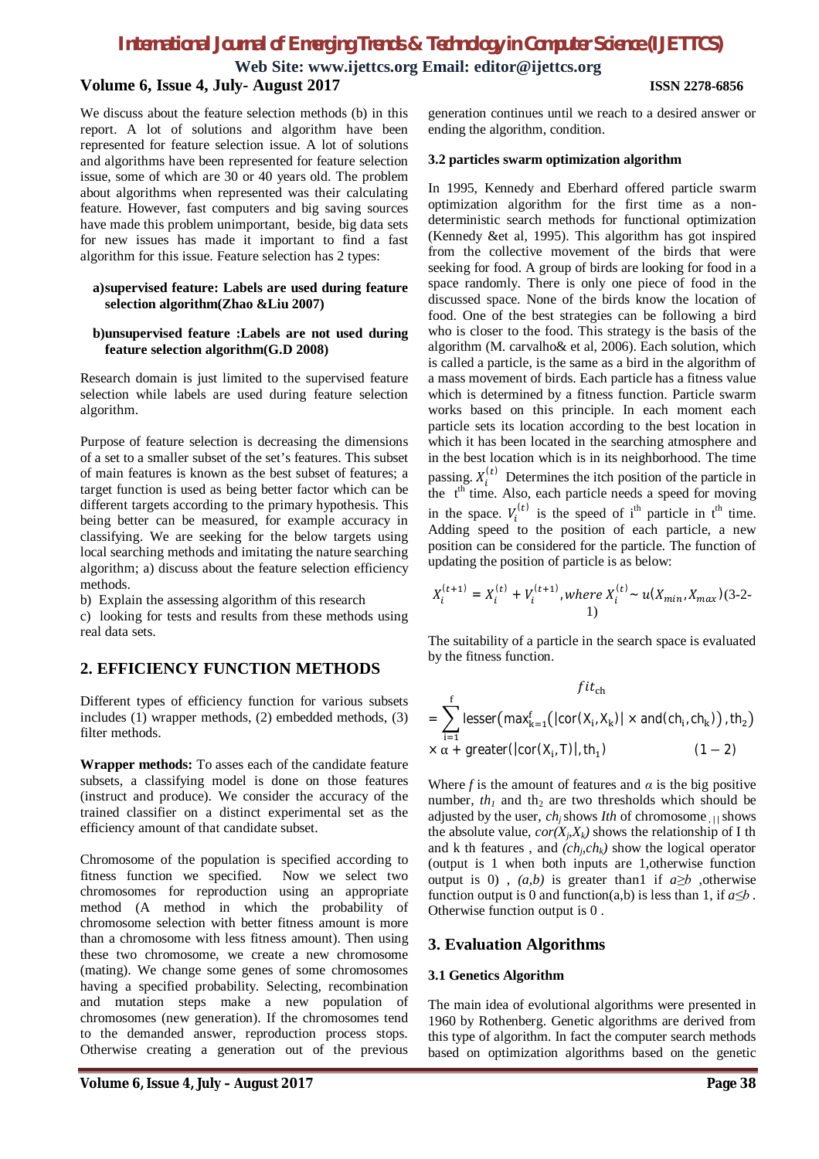**Web Site: www.ijettcs.org Email: editor@ijettcs.org**

# **Volume 6, Issue 4, July- August 2017 ISSN 2278-6856**

We discuss about the feature selection methods (b) in this report. A lot of solutions and algorithm have been represented for feature selection issue. A lot of solutions and algorithms have been represented for feature selection issue, some of which are 30 or 40 years old. The problem about algorithms when represented was their calculating feature. However, fast computers and big saving sources have made this problem unimportant, beside, big data sets for new issues has made it important to find a fast algorithm for this issue. Feature selection has 2 types:

### **a)supervised feature: Labels are used during feature selection algorithm(Zhao &Liu 2007)**

### **b)unsupervised feature :Labels are not used during feature selection algorithm(G.D 2008)**

Research domain is just limited to the supervised feature selection while labels are used during feature selection algorithm.

Purpose of feature selection is decreasing the dimensions of a set to a smaller subset of the set's features. This subset of main features is known as the best subset of features; a target function is used as being better factor which can be different targets according to the primary hypothesis. This being better can be measured, for example accuracy in classifying. We are seeking for the below targets using local searching methods and imitating the nature searching algorithm; a) discuss about the feature selection efficiency methods.

b) Explain the assessing algorithm of this research

c) looking for tests and results from these methods using real data sets.

# **2. EFFICIENCY FUNCTION METHODS**

Different types of efficiency function for various subsets includes (1) wrapper methods, (2) embedded methods, (3) filter methods.

**Wrapper methods:** To asses each of the candidate feature subsets, a classifying model is done on those features (instruct and produce). We consider the accuracy of the trained classifier on a distinct experimental set as the efficiency amount of that candidate subset.

Chromosome of the population is specified according to fitness function we specified. Now we select two chromosomes for reproduction using an appropriate method (A method in which the probability of chromosome selection with better fitness amount is more than a chromosome with less fitness amount). Then using these two chromosome, we create a new chromosome (mating). We change some genes of some chromosomes having a specified probability. Selecting, recombination and mutation steps make a new population of chromosomes (new generation). If the chromosomes tend to the demanded answer, reproduction process stops. Otherwise creating a generation out of the previous

generation continues until we reach to a desired answer or ending the algorithm, condition.

### **3.2 particles swarm optimization algorithm**

In 1995, Kennedy and Eberhard offered particle swarm optimization algorithm for the first time as a nondeterministic search methods for functional optimization (Kennedy &et al, 1995). This algorithm has got inspired from the collective movement of the birds that were seeking for food. A group of birds are looking for food in a space randomly. There is only one piece of food in the discussed space. None of the birds know the location of food. One of the best strategies can be following a bird who is closer to the food. This strategy is the basis of the algorithm (M. carvalho& et al, 2006). Each solution, which is called a particle, is the same as a bird in the algorithm of a mass movement of birds. Each particle has a fitness value which is determined by a fitness function. Particle swarm works based on this principle. In each moment each particle sets its location according to the best location in which it has been located in the searching atmosphere and in the best location which is in its neighborhood. The time passing.  $X_i^{(t)}$  Determines the itch position of the particle in the  $t<sup>th</sup>$  time. Also, each particle needs a speed for moving in the space.  $V_i^{(t)}$  is the speed of i<sup>th</sup> particle in t<sup>th</sup> time. Adding speed to the position of each particle, a new position can be considered for the particle. The function of updating the position of particle is as below:

$$
X_i^{(t+1)} = X_i^{(t)} + V_i^{(t+1)}
$$
, where  $X_i^{(t)} \sim u(X_{min}, X_{max})$ (3-2-1)

The suitability of a particle in the search space is evaluated by the fitness function.

$$
fit_{ch}
$$
\n
$$
= \sum_{i=1}^{f} \text{lesser}(\text{max}_{k=1}^{f}(|\text{cor}(X_{i}, X_{k})| \times \text{and}(\text{ch}_{i}, \text{ch}_{k})) , \text{th}_{2})
$$
\n
$$
\times \alpha + \text{greater}(|\text{cor}(X_{i}, T)|, \text{th}_{1})
$$
\n
$$
(1 - 2)
$$

Where *f* is the amount of features and  $\alpha$  is the big positive number,  $th_1$  and  $th_2$  are two thresholds which should be adjusted by the user, *chj* shows *Ith* of chromosome , *| |*shows the absolute value,  $cor(X_j, X_k)$  shows the relationship of I th and k th features, and  $(ch<sub>j</sub>ch<sub>k</sub>)$  show the logical operator (output is 1 when both inputs are 1,otherwise function output is 0),  $(a,b)$  is greater than 1 if  $a \ge b$ , otherwise function output is 0 and function(a,b) is less than 1, if  $a \leq b$ . Otherwise function output is 0 .

# **3. Evaluation Algorithms**

## **3.1 Genetics Algorithm**

The main idea of evolutional algorithms were presented in 1960 by Rothenberg. Genetic algorithms are derived from this type of algorithm. In fact the computer search methods based on optimization algorithms based on the genetic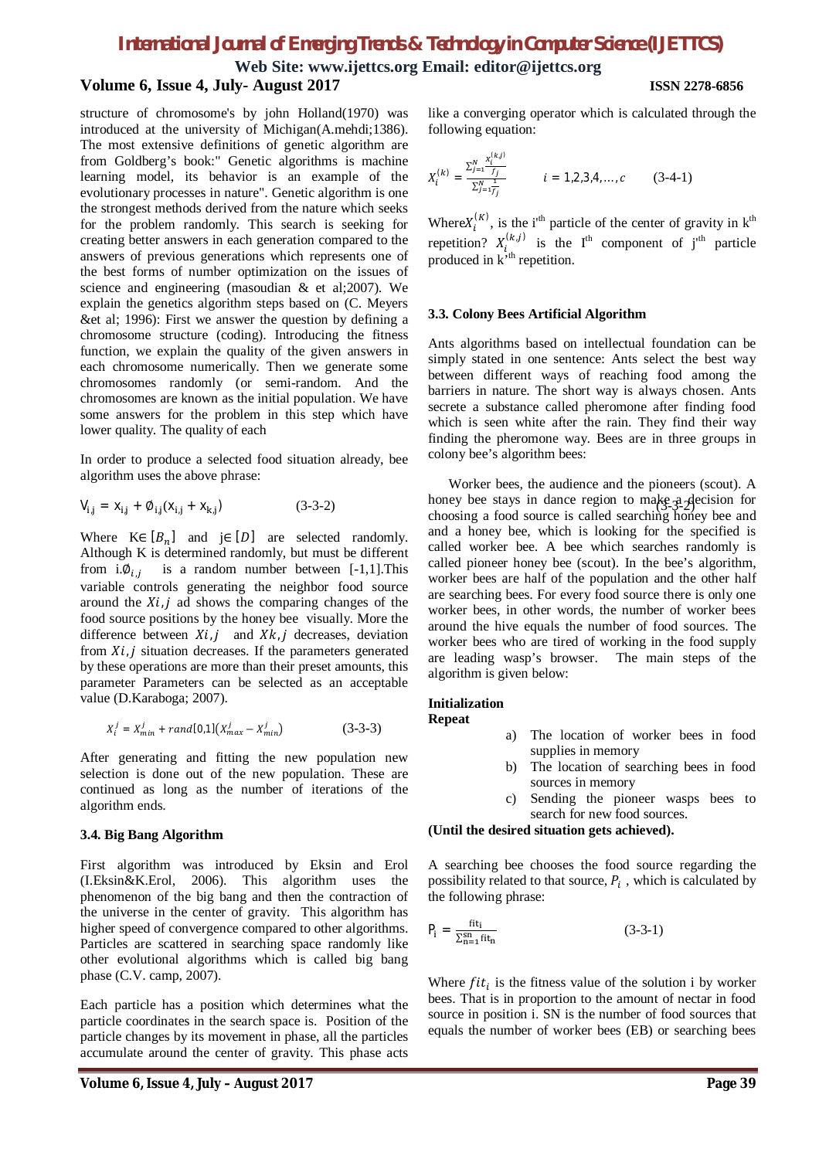**Web Site: www.ijettcs.org Email: editor@ijettcs.org Volume 6, Issue 4, July- August 2017 ISSN 2278-6856**

structure of chromosome's by john Holland(1970) was introduced at the university of Michigan(A.mehdi;1386). The most extensive definitions of genetic algorithm are from Goldberg's book:" Genetic algorithms is machine learning model, its behavior is an example of the evolutionary processes in nature". Genetic algorithm is one the strongest methods derived from the nature which seeks for the problem randomly. This search is seeking for creating better answers in each generation compared to the answers of previous generations which represents one of the best forms of number optimization on the issues of science and engineering (masoudian & et al;2007). We explain the genetics algorithm steps based on (C. Meyers &et al; 1996): First we answer the question by defining a chromosome structure (coding). Introducing the fitness function, we explain the quality of the given answers in each chromosome numerically. Then we generate some chromosomes randomly (or semi-random. And the chromosomes are known as the initial population. We have some answers for the problem in this step which have lower quality. The quality of each

In order to produce a selected food situation already, bee algorithm uses the above phrase:

$$
V_{i,j} = X_{i,j} + \emptyset_{i,j}(X_{i,j} + X_{k,j})
$$
 (3-3-2)

Where  $K \in [B_n]$  and  $j \in [D]$  are selected randomly. Although K is determined randomly, but must be different from i. $\varphi_{i,j}$  is a random number between [-1,1]. This variable controls generating the neighbor food source around the  $Xi$ , *j* ad shows the comparing changes of the food source positions by the honey bee visually. More the difference between  $Xi$ , j and  $Xk$ , j decreases, deviation from  $Xi_j$  is situation decreases. If the parameters generated by these operations are more than their preset amounts, this parameter Parameters can be selected as an acceptable value (D.Karaboga; 2007).

$$
X_i^j = X_{min}^j + rand[0,1]\left(X_{max}^j - X_{min}^j\right)
$$
 (3-3-3)

After generating and fitting the new population new selection is done out of the new population. These are continued as long as the number of iterations of the algorithm ends.

## **3.4. Big Bang Algorithm**

First algorithm was introduced by Eksin and Erol (I.Eksin&K.Erol, 2006). This algorithm uses the phenomenon of the big bang and then the contraction of the universe in the center of gravity. This algorithm has higher speed of convergence compared to other algorithms. Particles are scattered in searching space randomly like other evolutional algorithms which is called big bang phase (C.V. camp, 2007).

Each particle has a position which determines what the particle coordinates in the search space is. Position of the particle changes by its movement in phase, all the particles accumulate around the center of gravity. This phase acts

$$
X_i^{(k)} = \frac{\sum_{j=1}^{N} \frac{x_i^{(k,j)}}{f_j}}{\sum_{j=1}^{N} \frac{1}{f_j}} \qquad i = 1, 2, 3, 4, ..., c \qquad (3-4-1)
$$

Where $X_i^{(K)}$ , is the i<sup>th</sup> particle of the center of gravity in  $k^{th}$ repetition?  $X_{i}^{(k,j)}$  is the I<sup>th</sup> component of j<sup>th</sup> particle produced in  $k^{\text{th}}$  repetition.

## **3.3. Colony Bees Artificial Algorithm**

Ants algorithms based on intellectual foundation can be simply stated in one sentence: Ants select the best way between different ways of reaching food among the barriers in nature. The short way is always chosen. Ants secrete a substance called pheromone after finding food which is seen white after the rain. They find their way finding the pheromone way. Bees are in three groups in colony bee's algorithm bees:

 $(3-3-2)$  honey bee stays in dance region to make a decision for Worker bees, the audience and the pioneers (scout). A choosing a food source is called searching honey bee and and a honey bee, which is looking for the specified is called worker bee. A bee which searches randomly is called pioneer honey bee (scout). In the bee's algorithm, worker bees are half of the population and the other half are searching bees. For every food source there is only one worker bees, in other words, the number of worker bees around the hive equals the number of food sources. The worker bees who are tired of working in the food supply are leading wasp's browser. The main steps of the algorithm is given below:

## **Initialization**

**Repeat**

- a) The location of worker bees in food supplies in memory
- b) The location of searching bees in food sources in memory
- c) Sending the pioneer wasps bees to search for new food sources.

**(Until the desired situation gets achieved).**

A searching bee chooses the food source regarding the possibility related to that source,  $P_i$ , which is calculated by the following phrase:

$$
P_i = \frac{\mathrm{fit}_i}{\Sigma_{n=1}^{sn}\mathrm{fit}_n} \tag{3-3-1}
$$

Where  $fit_i$  is the fitness value of the solution i by worker bees. That is in proportion to the amount of nectar in food source in position i. SN is the number of food sources that equals the number of worker bees (EB) or searching bees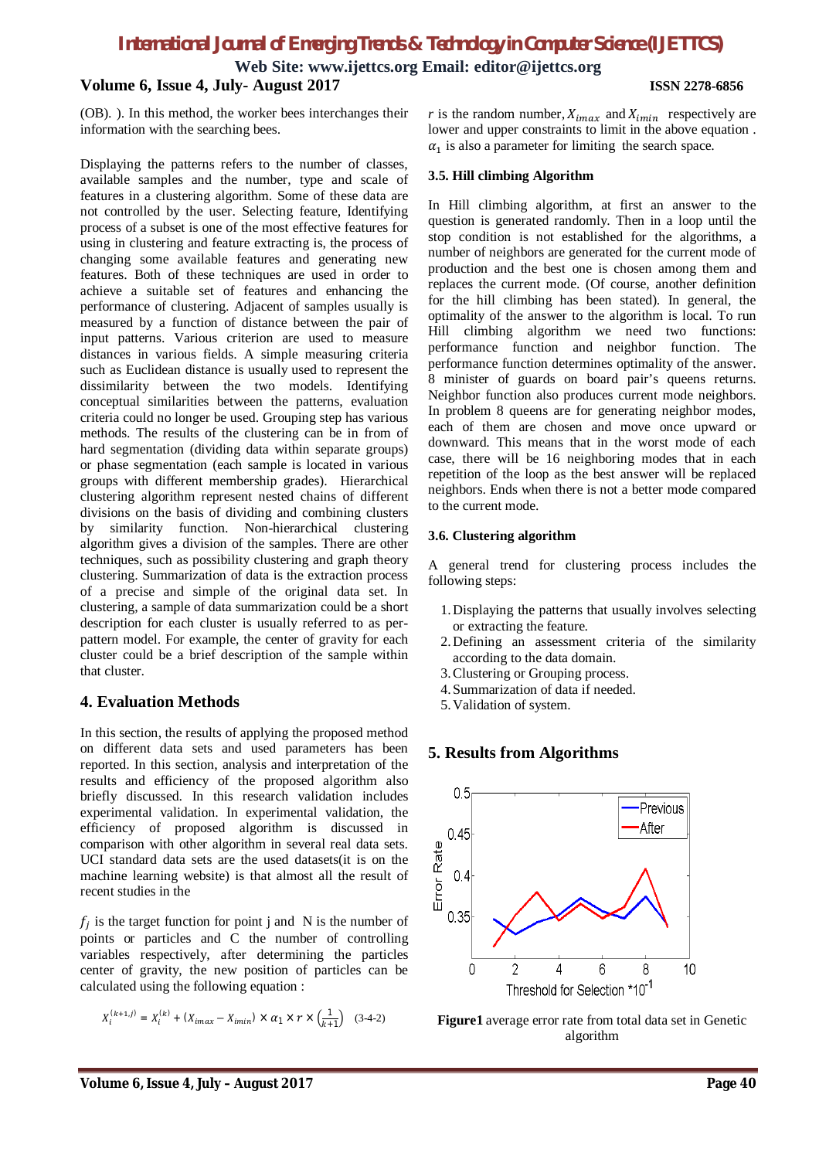**Web Site: www.ijettcs.org Email: editor@ijettcs.org**

# **Volume 6, Issue 4, July- August 2017 ISSN 2278-6856**

(OB). ). In this method, the worker bees interchanges their information with the searching bees.

Displaying the patterns refers to the number of classes, available samples and the number, type and scale of features in a clustering algorithm. Some of these data are not controlled by the user. Selecting feature, Identifying process of a subset is one of the most effective features for using in clustering and feature extracting is, the process of changing some available features and generating new features. Both of these techniques are used in order to achieve a suitable set of features and enhancing the performance of clustering. Adjacent of samples usually is measured by a function of distance between the pair of input patterns. Various criterion are used to measure distances in various fields. A simple measuring criteria such as Euclidean distance is usually used to represent the dissimilarity between the two models. Identifying conceptual similarities between the patterns, evaluation criteria could no longer be used. Grouping step has various methods. The results of the clustering can be in from of hard segmentation (dividing data within separate groups) or phase segmentation (each sample is located in various groups with different membership grades). Hierarchical clustering algorithm represent nested chains of different divisions on the basis of dividing and combining clusters by similarity function. Non-hierarchical clustering algorithm gives a division of the samples. There are other techniques, such as possibility clustering and graph theory clustering. Summarization of data is the extraction process of a precise and simple of the original data set. In clustering, a sample of data summarization could be a short description for each cluster is usually referred to as perpattern model. For example, the center of gravity for each cluster could be a brief description of the sample within that cluster.

# **4. Evaluation Methods**

In this section, the results of applying the proposed method on different data sets and used parameters has been reported. In this section, analysis and interpretation of the results and efficiency of the proposed algorithm also briefly discussed. In this research validation includes experimental validation. In experimental validation, the efficiency of proposed algorithm is discussed in comparison with other algorithm in several real data sets. UCI standard data sets are the used datasets(it is on the machine learning website) is that almost all the result of recent studies in the

 $f_j$  is the target function for point j and N is the number of points or particles and C the number of controlling variables respectively, after determining the particles center of gravity, the new position of particles can be calculated using the following equation :

$$
X_i^{(k+1,j)}=X_i^{(k)}+\left(X_{imax}-X_{imin}\right)\times\alpha_1\times r\times \left(\tfrac{1}{k+1}\right)\quad (3-4-2)
$$

*r* is the random number,  $X_{imax}$  and  $X_{imin}$  respectively are lower and upper constraints to limit in the above equation .  $\alpha_1$  is also a parameter for limiting the search space.

### **3.5. Hill climbing Algorithm**

In Hill climbing algorithm, at first an answer to the question is generated randomly. Then in a loop until the stop condition is not established for the algorithms, a number of neighbors are generated for the current mode of production and the best one is chosen among them and replaces the current mode. (Of course, another definition for the hill climbing has been stated). In general, the optimality of the answer to the algorithm is local. To run Hill climbing algorithm we need two functions: performance function and neighbor function. The performance function determines optimality of the answer. 8 minister of guards on board pair's queens returns. Neighbor function also produces current mode neighbors. In problem 8 queens are for generating neighbor modes, each of them are chosen and move once upward or downward. This means that in the worst mode of each case, there will be 16 neighboring modes that in each repetition of the loop as the best answer will be replaced neighbors. Ends when there is not a better mode compared to the current mode.

### **3.6. Clustering algorithm**

A general trend for clustering process includes the following steps:

- 1.Displaying the patterns that usually involves selecting or extracting the feature.
- 2.Defining an assessment criteria of the similarity according to the data domain.
- 3.Clustering or Grouping process.
- 4.Summarization of data if needed.
- 5.Validation of system.

# **5. Results from Algorithms**



**Figure1** average error rate from total data set in Genetic algorithm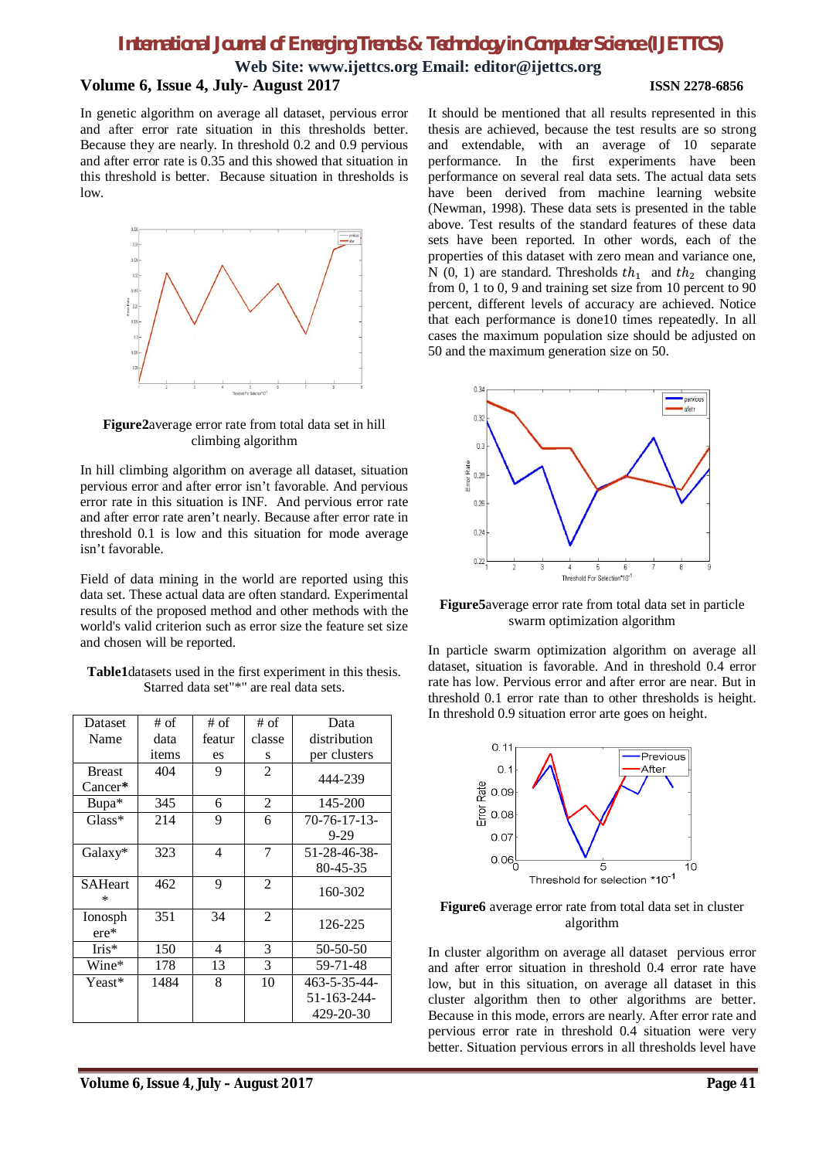**Web Site: www.ijettcs.org Email: editor@ijettcs.org**

# **Volume 6, Issue 4, July- August 2017 ISSN 2278-6856**

In genetic algorithm on average all dataset, pervious error and after error rate situation in this thresholds better. Because they are nearly. In threshold 0.2 and 0.9 pervious and after error rate is 0.35 and this showed that situation in this threshold is better. Because situation in thresholds is low.



**Figure2**average error rate from total data set in hill climbing algorithm

In hill climbing algorithm on average all dataset, situation pervious error and after error isn't favorable. And pervious error rate in this situation is INF. And pervious error rate and after error rate aren't nearly. Because after error rate in threshold 0.1 is low and this situation for mode average isn't favorable.

Field of data mining in the world are reported using this data set. These actual data are often standard. Experimental results of the proposed method and other methods with the world's valid criterion such as error size the feature set size and chosen will be reported.

| Dataset        | # of  | # of   | # of           | Data                |
|----------------|-------|--------|----------------|---------------------|
| Name           | data  | featur | classe         | distribution        |
|                | items | es     | S              | per clusters        |
| <b>Breast</b>  | 404   | 9      | $\overline{2}$ | 444-239             |
| $Cancer*$      |       |        |                |                     |
| Bupa*          | 345   | 6      | 2              | 145-200             |
| $Glass^*$      | 214   | 9      | 6              | $70 - 76 - 17 - 13$ |
|                |       |        |                | 9-29                |
| Galaxy*        | 323   | 4      | 7              | 51-28-46-38-        |
|                |       |        |                | 80-45-35            |
| <b>SAHeart</b> | 462   | 9      | $\overline{2}$ | 160-302             |
| $\ast$         |       |        |                |                     |
| Ionosph        | 351   | 34     | $\overline{2}$ | 126-225             |
| $ere*$         |       |        |                |                     |
| $Iris*$        | 150   | 4      | 3              | 50-50-50            |
| Wine*          | 178   | 13     | 3              | 59-71-48            |
| Yeast*         | 1484  | 8      | 10             | 463-5-35-44-        |
|                |       |        |                | 51-163-244-         |
|                |       |        |                | 429-20-30           |

| Table1datasets used in the first experiment in this thesis. |  |
|-------------------------------------------------------------|--|
| Starred data set"*" are real data sets.                     |  |

It should be mentioned that all results represented in this thesis are achieved, because the test results are so strong and extendable, with an average of 10 separate performance. In the first experiments have been performance on several real data sets. The actual data sets have been derived from machine learning website (Newman, 1998). These data sets is presented in the table above. Test results of the standard features of these data sets have been reported. In other words, each of the properties of this dataset with zero mean and variance one, N (0, 1) are standard. Thresholds  $th_1$  and  $th_2$  changing from 0, 1 to 0, 9 and training set size from 10 percent to 90 percent, different levels of accuracy are achieved. Notice that each performance is done10 times repeatedly. In all cases the maximum population size should be adjusted on 50 and the maximum generation size on 50.



**Figure5**average error rate from total data set in particle swarm optimization algorithm

In particle swarm optimization algorithm on average all dataset, situation is favorable. And in threshold 0.4 error rate has low. Pervious error and after error are near. But in threshold 0.1 error rate than to other thresholds is height. In threshold 0.9 situation error arte goes on height.



# **Figure6** average error rate from total data set in cluster algorithm

In cluster algorithm on average all dataset pervious error and after error situation in threshold 0.4 error rate have low, but in this situation, on average all dataset in this cluster algorithm then to other algorithms are better. Because in this mode, errors are nearly. After error rate and pervious error rate in threshold 0.4 situation were very better. Situation pervious errors in all thresholds level have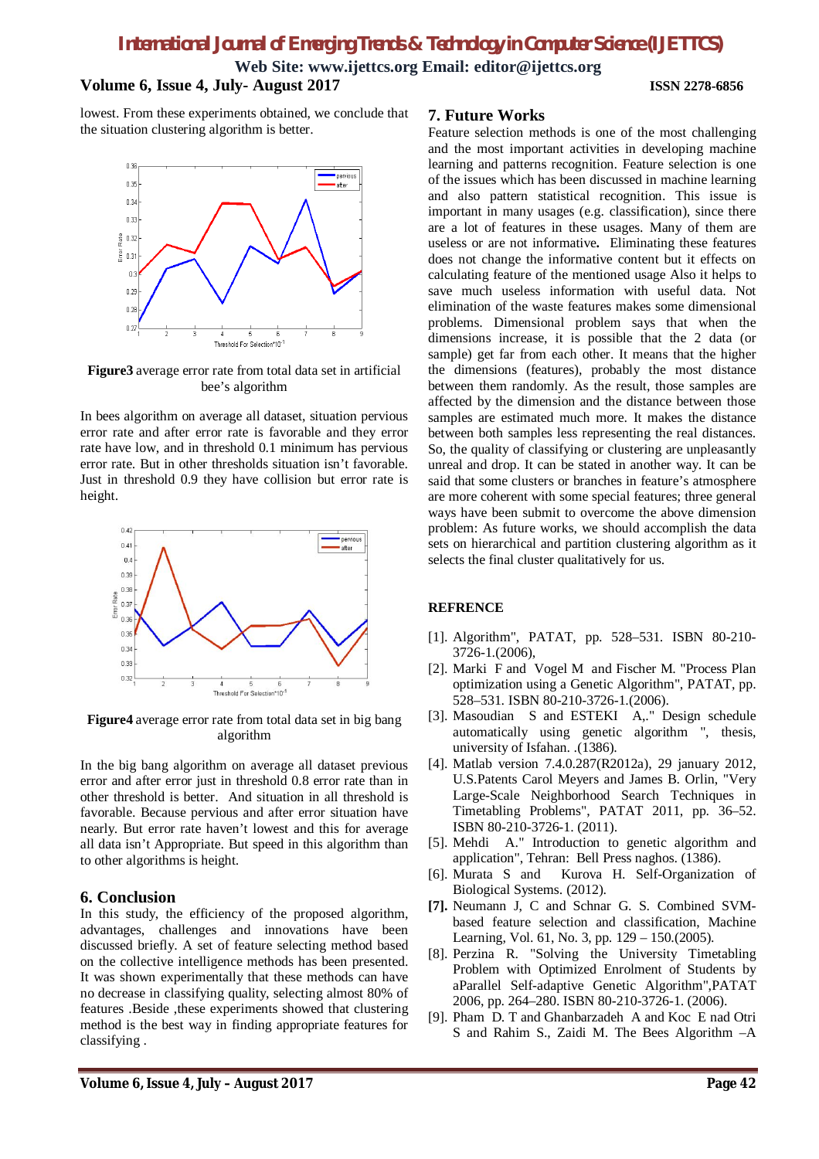**Web Site: www.ijettcs.org Email: editor@ijettcs.org**

# **Volume 6, Issue 4, July- August 2017 ISSN 2278-6856**

lowest. From these experiments obtained, we conclude that the situation clustering algorithm is better.



**Figure3** average error rate from total data set in artificial bee's algorithm

In bees algorithm on average all dataset, situation pervious error rate and after error rate is favorable and they error rate have low, and in threshold 0.1 minimum has pervious error rate. But in other thresholds situation isn't favorable. Just in threshold 0.9 they have collision but error rate is height.



**Figure4** average error rate from total data set in big bang algorithm

In the big bang algorithm on average all dataset previous error and after error just in threshold 0.8 error rate than in other threshold is better. And situation in all threshold is favorable. Because pervious and after error situation have nearly. But error rate haven't lowest and this for average all data isn't Appropriate. But speed in this algorithm than to other algorithms is height.

# **6. Conclusion**

In this study, the efficiency of the proposed algorithm, advantages, challenges and innovations have been discussed briefly. A set of feature selecting method based on the collective intelligence methods has been presented. It was shown experimentally that these methods can have no decrease in classifying quality, selecting almost 80% of features .Beside ,these experiments showed that clustering method is the best way in finding appropriate features for classifying .

# **7. Future Works**

Feature selection methods is one of the most challenging and the most important activities in developing machine learning and patterns recognition. Feature selection is one of the issues which has been discussed in machine learning and also pattern statistical recognition. This issue is important in many usages (e.g. classification), since there are a lot of features in these usages. Many of them are useless or are not informative**.** Eliminating these features does not change the informative content but it effects on calculating feature of the mentioned usage Also it helps to save much useless information with useful data. Not elimination of the waste features makes some dimensional problems. Dimensional problem says that when the dimensions increase, it is possible that the 2 data (or sample) get far from each other. It means that the higher the dimensions (features), probably the most distance between them randomly. As the result, those samples are affected by the dimension and the distance between those samples are estimated much more. It makes the distance between both samples less representing the real distances. So, the quality of classifying or clustering are unpleasantly unreal and drop. It can be stated in another way. It can be said that some clusters or branches in feature's atmosphere are more coherent with some special features; three general ways have been submit to overcome the above dimension problem: As future works, we should accomplish the data sets on hierarchical and partition clustering algorithm as it selects the final cluster qualitatively for us.

# **REFRENCE**

- [1]. Algorithm", PATAT, pp. 528–531. ISBN 80-210- 3726-1.(2006),
- [2]. Marki F and Vogel M and Fischer M. "Process Plan optimization using a Genetic Algorithm", PATAT, pp. 528–531. ISBN 80-210-3726-1.(2006).
- [3]. Masoudian S and ESTEKI A,." Design schedule automatically using genetic algorithm ", thesis, university of Isfahan. .(1386).
- [4]. Matlab version 7.4.0.287(R2012a), 29 january 2012, U.S.Patents Carol Meyers and James B. Orlin, "Very Large-Scale Neighborhood Search Techniques in Timetabling Problems", PATAT 2011, pp. 36–52. ISBN 80-210-3726-1. (2011).
- [5]. Mehdi A." Introduction to genetic algorithm and application", Tehran: Bell Press naghos. (1386).
- [6]. Murata S and Kurova H. Self-Organization of Biological Systems. (2012).
- **[7].** Neumann J, C and Schnar G. S. Combined SVMbased feature selection and classification, Machine Learning, Vol. 61, No. 3, pp. 129 – 150.(2005).
- [8]. Perzina R. "Solving the University Timetabling Problem with Optimized Enrolment of Students by aParallel Self-adaptive Genetic Algorithm",PATAT 2006, pp. 264–280. ISBN 80-210-3726-1. (2006).
- [9]. Pham D. T and Ghanbarzadeh A and Koc E nad Otri S and Rahim S., Zaidi M. The Bees Algorithm –A